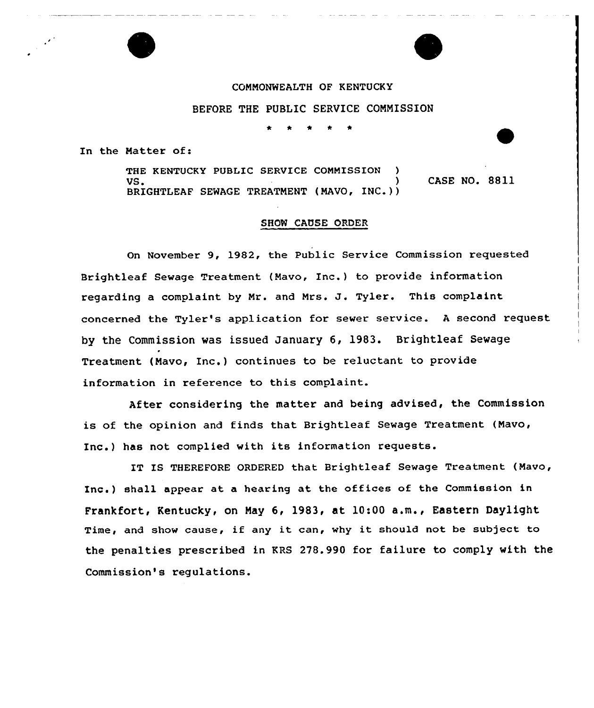## CONNONWEALTH OF KENTUCKY

BEFORE THE PUBLIC SERVICE COMMISSION

In the Matter of:

THE KENTUCKY PUBLIC SERVICE COMMISSION VS. ) CASE NO. 8811 BRIGHTLEAF SEWAGE TREATMENT (MAVO, INC.))

## SHOW CAUSE ORDER

On November 9, 1982, the Public Service Commission requested Brightleaf Sewage Treatment (Mavo, Inc.) to provide information regarding <sup>a</sup> complaint by Mr. and Mrs. J. Tyler. This complaint concerned the Tyler's application for sewer service. <sup>A</sup> second request by the Commission was issued January 6, 1983. Brightleaf Sewage Treatment (Mavo, Inc.) continues to be reluctant to provide information in reference to this complaint.

After considering the matter and being advised, the Commission is of the opinion and finds that Brightleaf Sewage Treatment (Mavo, Inc.) has not complied with its information requests.

IT IS THEREFORE ORDERED that Brightleaf Sewage Treatment (Mavo, Inc.) shall appear at a hearing at the offices of the Commission in Frankfort, Kentucky, on Nay 6, 1983, at 10:00 a.m., Eastern Daylight Time, and show cause, if any it can, why it should not be subject to the penalties prescribed in KRS 278.990 for failure to comply with the Commission's regulations.